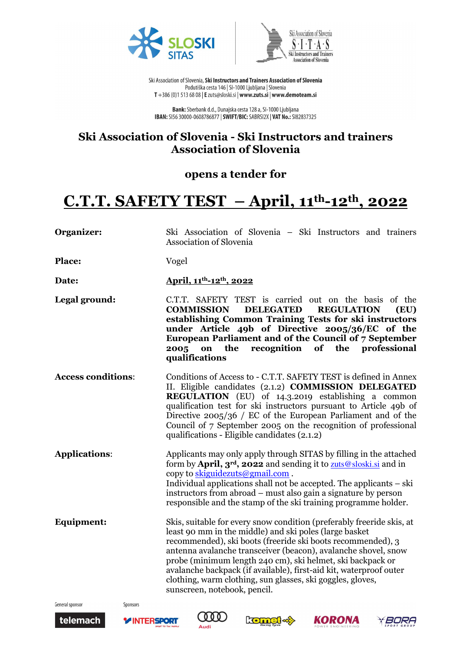



Ski Association of Slovenia, Ski Instructors and Trainers Association of Slovenia Podutiška cesta 146 | SI-1000 Ljubljana | Slovenia T +386 (0)1 513 68 08 | E zuts@sloski.si | www.zuts.si | www.demoteam.si

**Bank:** Sberbank d.d., Dunajska cesta 128 a, SI-1000 Ljubljana<br>**IBAN:** SI56 30000-0608786877 | SWIFT/BIC: SABRSI2X | VAT No.: SI82837325

## **Ski Association of Slovenia - Ski Instructors and trainers Association of Slovenia**

### **opens a tender for**

# **C.T.T. SAFETY TEST – April, 11th-12th, 2022**

| Organizer:                | Ski Association of Slovenia – Ski Instructors and trainers<br><b>Association of Slovenia</b>                                                                                                                                                                                                                                                                                                                                                                                                       |
|---------------------------|----------------------------------------------------------------------------------------------------------------------------------------------------------------------------------------------------------------------------------------------------------------------------------------------------------------------------------------------------------------------------------------------------------------------------------------------------------------------------------------------------|
| <b>Place:</b>             | Vogel                                                                                                                                                                                                                                                                                                                                                                                                                                                                                              |
| Date:                     | April, 11 <sup>th</sup> -12 <sup>th</sup> , 2022                                                                                                                                                                                                                                                                                                                                                                                                                                                   |
| Legal ground:             | C.T.T. SAFETY TEST is carried out on the basis of the<br><b>COMMISSION</b><br><b>DELEGATED</b><br><b>REGULATION</b><br>(EU)<br>establishing Common Training Tests for ski instructors<br>under Article 49b of Directive 2005/36/EC of the<br>European Parliament and of the Council of 7 September<br>the<br>recognition of the professional<br>2005<br>on<br>qualifications                                                                                                                       |
| <b>Access conditions:</b> | Conditions of Access to - C.T.T. SAFETY TEST is defined in Annex<br>II. Eligible candidates (2.1.2) COMMISSION DELEGATED<br>REGULATION (EU) of 14.3.2019 establishing a common<br>qualification test for ski instructors pursuant to Article 49b of<br>Directive $2005/36$ / EC of the European Parliament and of the<br>Council of 7 September 2005 on the recognition of professional<br>qualifications - Eligible candidates (2.1.2)                                                            |
| <b>Applications:</b>      | Applicants may only apply through SITAS by filling in the attached<br>form by April, 3 <sup>rd</sup> , 2022 and sending it to <b>zuts@sloski.si</b> and in<br>copy to skiguidezuts@gmail.com.<br>Individual applications shall not be accepted. The applicants – ski<br>instructors from abroad – must also gain a signature by person<br>responsible and the stamp of the ski training programme holder.                                                                                          |
| Equipment:                | Skis, suitable for every snow condition (preferably freeride skis, at<br>least 90 mm in the middle) and ski poles (large basket<br>recommended), ski boots (freeride ski boots recommended), 3<br>antenna avalanche transceiver (beacon), avalanche shovel, snow<br>probe (minimum length 240 cm), ski helmet, ski backpack or<br>avalanche backpack (if available), first-aid kit, waterproof outer<br>clothing, warm clothing, sun glasses, ski goggles, gloves,<br>sunscreen, notebook, pencil. |

General sponsor





Sponsors







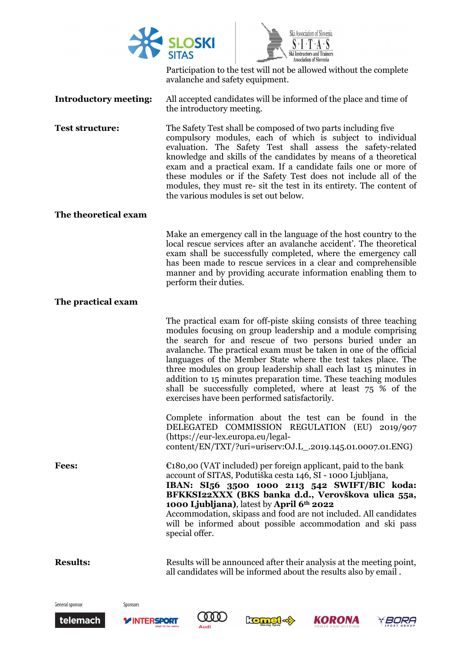



Participation to the test will not be allowed without the complete avalanche and safety equipment.

- **Introductory meeting:** All accepted candidates will be informed of the place and time of the introductory meeting.
- **Test structure:** The Safety Test shall be composed of two parts including five compulsory modules, each of which is subject to individual evaluation. The Safety Test shall assess the safety-related knowledge and skills of the candidates by means of a theoretical exam and a practical exam. If a candidate fails one or more of these modules or if the Safety Test does not include all of the modules, they must re- sit the test in its entirety. The content of the various modules is set out below.

### **The theoretical exam**

Make an emergency call in the language of the host country to the local rescue services after an avalanche accident'. The theoretical exam shall be successfully completed, where the emergency call has been made to rescue services in a clear and comprehensible manner and by providing accurate information enabling them to perform their duties.

### **The practical exam**

The practical exam for off-piste skiing consists of three teaching modules focusing on group leadership and a module comprising the search for and rescue of two persons buried under an avalanche. The practical exam must be taken in one of the official languages of the Member State where the test takes place. The three modules on group leadership shall each last 15 minutes in addition to 15 minutes preparation time. These teaching modules shall be successfully completed, where at least 75 % of the exercises have been performed satisfactorily.

Complete information about the test can be found in the DELEGATED COMMISSION REGULATION (EU) 2019/907 (https://eur-lex.europa.eu/legalcontent/EN/TXT/?uri=uriserv:OJ.L\_.2019.145.01.0007.01.ENG)

**Fees:** €180,00 (VAT included) per foreign applicant, paid to the bank account of SITAS, Podutiška cesta 146, SI - 1000 Ljubljana, **IBAN: SI56 3500 1000 2113 542 SWIFT/BIC koda: BFKKSI22XXX (BKS banka d.d., Verovškova ulica 55a,** 

**1000 Ljubljana)**, latest by **April 6th 2022**  Accommodation, skipass and food are not included. All candidates will be informed about possible accommodation and ski pass special offer.

**Results: Results Results** will be announced after their analysis at the meeting point, all candidates will be informed about the results also by email .

General sponsor





Sponsors







BORA